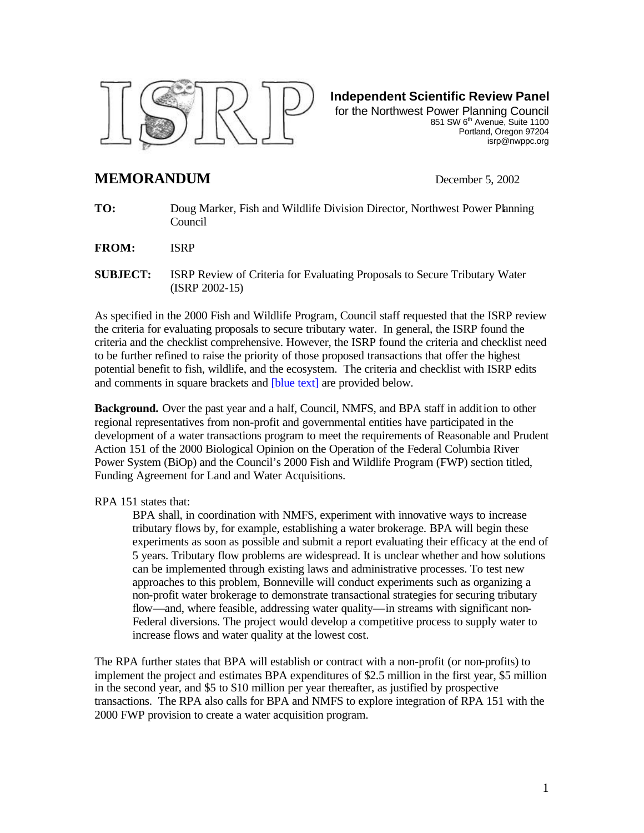

**Independent Scientific Review Panel**

for the Northwest Power Planning Council 851 SW 6<sup>th</sup> Avenue, Suite 1100 Portland, Oregon 97204 isrp@nwppc.org

## **MEMORANDUM** December 5, 2002

**TO:** Doug Marker, Fish and Wildlife Division Director, Northwest Power Planning Council

**FROM:** ISRP

**SUBJECT:** ISRP Review of Criteria for Evaluating Proposals to Secure Tributary Water (ISRP 2002-15)

As specified in the 2000 Fish and Wildlife Program, Council staff requested that the ISRP review the criteria for evaluating proposals to secure tributary water. In general, the ISRP found the criteria and the checklist comprehensive. However, the ISRP found the criteria and checklist need to be further refined to raise the priority of those proposed transactions that offer the highest potential benefit to fish, wildlife, and the ecosystem. The criteria and checklist with ISRP edits and comments in square brackets and **[blue text]** are provided below.

**Background.** Over the past year and a half, Council, NMFS, and BPA staff in addition to other regional representatives from non-profit and governmental entities have participated in the development of a water transactions program to meet the requirements of Reasonable and Prudent Action 151 of the 2000 Biological Opinion on the Operation of the Federal Columbia River Power System (BiOp) and the Council's 2000 Fish and Wildlife Program (FWP) section titled, Funding Agreement for Land and Water Acquisitions.

## RPA 151 states that:

BPA shall, in coordination with NMFS, experiment with innovative ways to increase tributary flows by, for example, establishing a water brokerage. BPA will begin these experiments as soon as possible and submit a report evaluating their efficacy at the end of 5 years. Tributary flow problems are widespread. It is unclear whether and how solutions can be implemented through existing laws and administrative processes. To test new approaches to this problem, Bonneville will conduct experiments such as organizing a non-profit water brokerage to demonstrate transactional strategies for securing tributary flow—and, where feasible, addressing water quality—in streams with significant non-Federal diversions. The project would develop a competitive process to supply water to increase flows and water quality at the lowest cost.

The RPA further states that BPA will establish or contract with a non-profit (or non-profits) to implement the project and estimates BPA expenditures of \$2.5 million in the first year, \$5 million in the second year, and \$5 to \$10 million per year thereafter, as justified by prospective transactions. The RPA also calls for BPA and NMFS to explore integration of RPA 151 with the 2000 FWP provision to create a water acquisition program.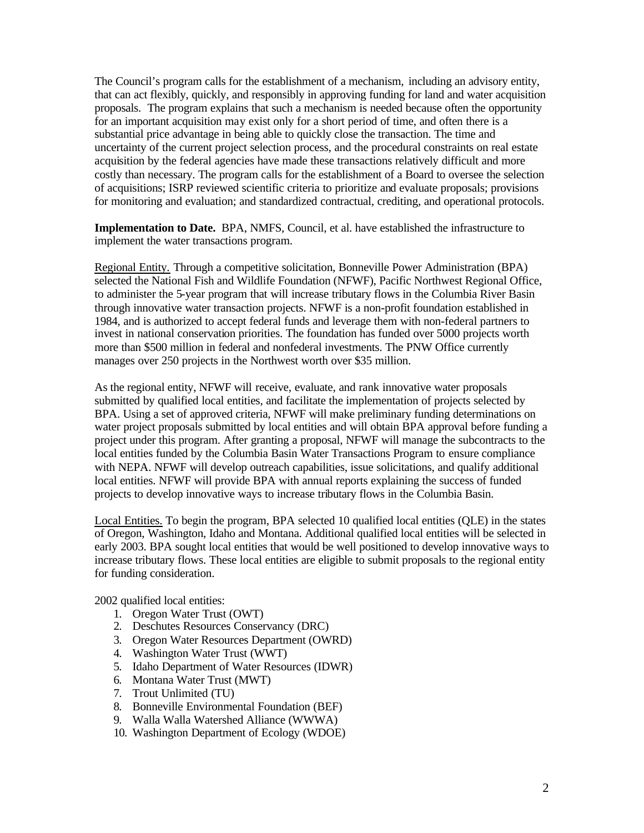The Council's program calls for the establishment of a mechanism, including an advisory entity, that can act flexibly, quickly, and responsibly in approving funding for land and water acquisition proposals. The program explains that such a mechanism is needed because often the opportunity for an important acquisition may exist only for a short period of time, and often there is a substantial price advantage in being able to quickly close the transaction. The time and uncertainty of the current project selection process, and the procedural constraints on real estate acquisition by the federal agencies have made these transactions relatively difficult and more costly than necessary. The program calls for the establishment of a Board to oversee the selection of acquisitions; ISRP reviewed scientific criteria to prioritize and evaluate proposals; provisions for monitoring and evaluation; and standardized contractual, crediting, and operational protocols.

**Implementation to Date.** BPA, NMFS, Council, et al. have established the infrastructure to implement the water transactions program.

Regional Entity. Through a competitive solicitation, Bonneville Power Administration (BPA) selected the National Fish and Wildlife Foundation (NFWF), Pacific Northwest Regional Office, to administer the 5-year program that will increase tributary flows in the Columbia River Basin through innovative water transaction projects. NFWF is a non-profit foundation established in 1984, and is authorized to accept federal funds and leverage them with non-federal partners to invest in national conservation priorities. The foundation has funded over 5000 projects worth more than \$500 million in federal and nonfederal investments. The PNW Office currently manages over 250 projects in the Northwest worth over \$35 million.

As the regional entity, NFWF will receive, evaluate, and rank innovative water proposals submitted by qualified local entities, and facilitate the implementation of projects selected by BPA. Using a set of approved criteria, NFWF will make preliminary funding determinations on water project proposals submitted by local entities and will obtain BPA approval before funding a project under this program. After granting a proposal, NFWF will manage the subcontracts to the local entities funded by the Columbia Basin Water Transactions Program to ensure compliance with NEPA. NFWF will develop outreach capabilities, issue solicitations, and qualify additional local entities. NFWF will provide BPA with annual reports explaining the success of funded projects to develop innovative ways to increase tributary flows in the Columbia Basin.

Local Entities. To begin the program, BPA selected 10 qualified local entities (QLE) in the states of Oregon, Washington, Idaho and Montana. Additional qualified local entities will be selected in early 2003. BPA sought local entities that would be well positioned to develop innovative ways to increase tributary flows. These local entities are eligible to submit proposals to the regional entity for funding consideration.

2002 qualified local entities:

- 1. Oregon Water Trust (OWT)
- 2. Deschutes Resources Conservancy (DRC)
- 3. Oregon Water Resources Department (OWRD)
- 4. Washington Water Trust (WWT)
- 5. Idaho Department of Water Resources (IDWR)
- 6. Montana Water Trust (MWT)
- 7. Trout Unlimited (TU)
- 8. Bonneville Environmental Foundation (BEF)
- 9. Walla Walla Watershed Alliance (WWWA)
- 10. Washington Department of Ecology (WDOE)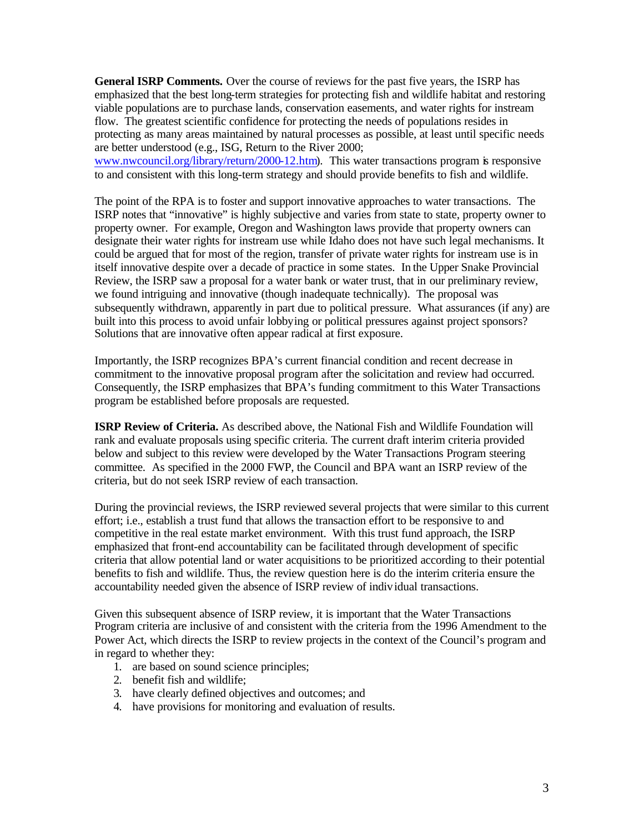**General ISRP Comments.** Over the course of reviews for the past five years, the ISRP has emphasized that the best long-term strategies for protecting fish and wildlife habitat and restoring viable populations are to purchase lands, conservation easements, and water rights for instream flow. The greatest scientific confidence for protecting the needs of populations resides in protecting as many areas maintained by natural processes as possible, at least until specific needs are better understood (e.g., ISG, Return to the River 2000; www.nwcouncil.org/library/return/2000-12.htm). This water transactions program is responsive to and consistent with this long-term strategy and should provide benefits to fish and wildlife.

The point of the RPA is to foster and support innovative approaches to water transactions. The ISRP notes that "innovative" is highly subjective and varies from state to state, property owner to property owner. For example, Oregon and Washington laws provide that property owners can designate their water rights for instream use while Idaho does not have such legal mechanisms. It could be argued that for most of the region, transfer of private water rights for instream use is in itself innovative despite over a decade of practice in some states. In the Upper Snake Provincial Review, the ISRP saw a proposal for a water bank or water trust, that in our preliminary review, we found intriguing and innovative (though inadequate technically). The proposal was subsequently withdrawn, apparently in part due to political pressure. What assurances (if any) are built into this process to avoid unfair lobbying or political pressures against project sponsors? Solutions that are innovative often appear radical at first exposure.

Importantly, the ISRP recognizes BPA's current financial condition and recent decrease in commitment to the innovative proposal program after the solicitation and review had occurred. Consequently, the ISRP emphasizes that BPA's funding commitment to this Water Transactions program be established before proposals are requested.

**ISRP Review of Criteria.** As described above, the National Fish and Wildlife Foundation will rank and evaluate proposals using specific criteria. The current draft interim criteria provided below and subject to this review were developed by the Water Transactions Program steering committee. As specified in the 2000 FWP, the Council and BPA want an ISRP review of the criteria, but do not seek ISRP review of each transaction.

During the provincial reviews, the ISRP reviewed several projects that were similar to this current effort; i.e., establish a trust fund that allows the transaction effort to be responsive to and competitive in the real estate market environment. With this trust fund approach, the ISRP emphasized that front-end accountability can be facilitated through development of specific criteria that allow potential land or water acquisitions to be prioritized according to their potential benefits to fish and wildlife. Thus, the review question here is do the interim criteria ensure the accountability needed given the absence of ISRP review of individual transactions.

Given this subsequent absence of ISRP review, it is important that the Water Transactions Program criteria are inclusive of and consistent with the criteria from the 1996 Amendment to the Power Act, which directs the ISRP to review projects in the context of the Council's program and in regard to whether they:

- 1. are based on sound science principles;
- 2. benefit fish and wildlife;
- 3. have clearly defined objectives and outcomes; and
- 4. have provisions for monitoring and evaluation of results.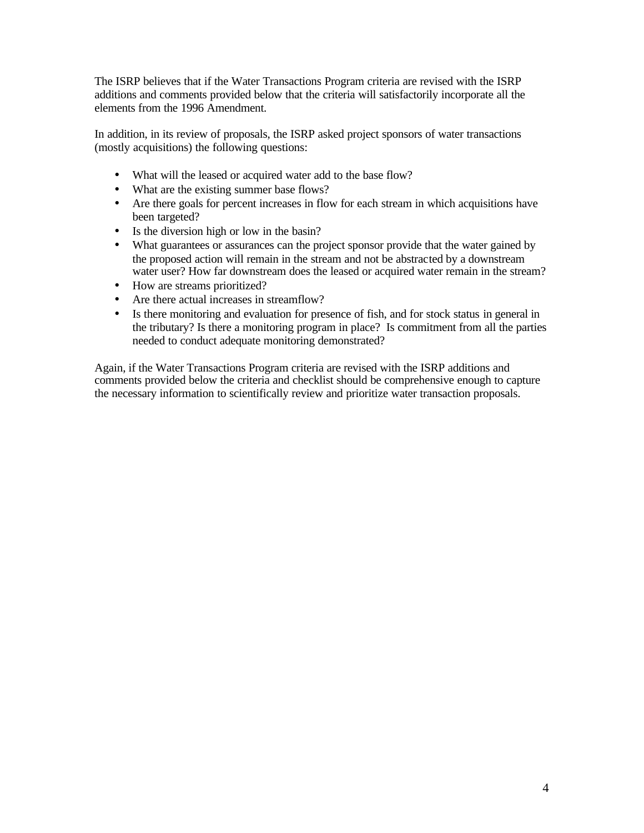The ISRP believes that if the Water Transactions Program criteria are revised with the ISRP additions and comments provided below that the criteria will satisfactorily incorporate all the elements from the 1996 Amendment.

In addition, in its review of proposals, the ISRP asked project sponsors of water transactions (mostly acquisitions) the following questions:

- What will the leased or acquired water add to the base flow?
- What are the existing summer base flows?
- Are there goals for percent increases in flow for each stream in which acquisitions have been targeted?
- Is the diversion high or low in the basin?
- What guarantees or assurances can the project sponsor provide that the water gained by the proposed action will remain in the stream and not be abstracted by a downstream water user? How far downstream does the leased or acquired water remain in the stream?
- How are streams prioritized?
- Are there actual increases in streamflow?
- Is there monitoring and evaluation for presence of fish, and for stock status in general in the tributary? Is there a monitoring program in place? Is commitment from all the parties needed to conduct adequate monitoring demonstrated?

Again, if the Water Transactions Program criteria are revised with the ISRP additions and comments provided below the criteria and checklist should be comprehensive enough to capture the necessary information to scientifically review and prioritize water transaction proposals.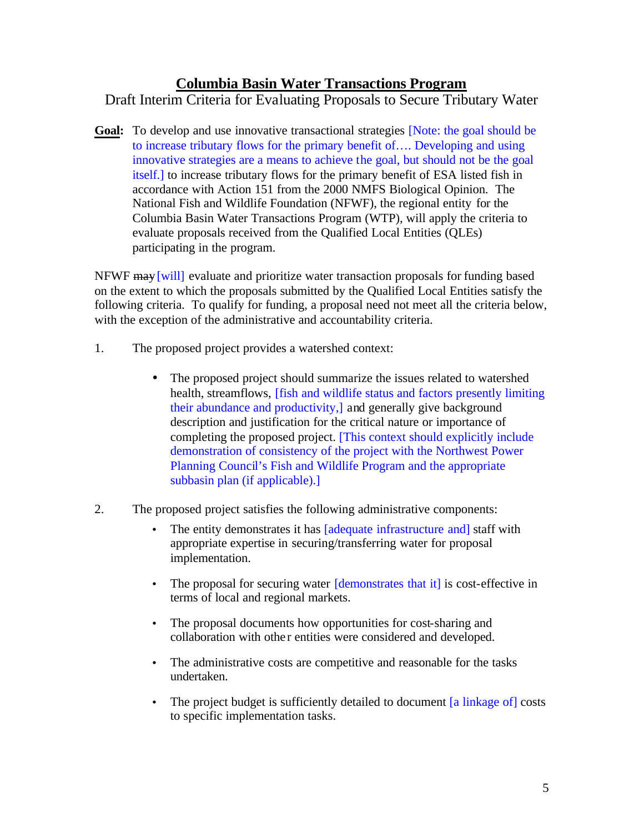## **Columbia Basin Water Transactions Program**

Draft Interim Criteria for Evaluating Proposals to Secure Tributary Water

**Goal:** To develop and use innovative transactional strategies [Note: the goal should be to increase tributary flows for the primary benefit of…. Developing and using innovative strategies are a means to achieve the goal, but should not be the goal itself.] to increase tributary flows for the primary benefit of ESA listed fish in accordance with Action 151 from the 2000 NMFS Biological Opinion. The National Fish and Wildlife Foundation (NFWF), the regional entity for the Columbia Basin Water Transactions Program (WTP), will apply the criteria to evaluate proposals received from the Qualified Local Entities (QLEs) participating in the program.

NFWF may [will] evaluate and prioritize water transaction proposals for funding based on the extent to which the proposals submitted by the Qualified Local Entities satisfy the following criteria. To qualify for funding, a proposal need not meet all the criteria below, with the exception of the administrative and accountability criteria.

- 1. The proposed project provides a watershed context:
	- The proposed project should summarize the issues related to watershed health, streamflows, [fish and wildlife status and factors presently limiting their abundance and productivity,] and generally give background description and justification for the critical nature or importance of completing the proposed project. [This context should explicitly include demonstration of consistency of the project with the Northwest Power Planning Council's Fish and Wildlife Program and the appropriate subbasin plan (if applicable).]
- 2. The proposed project satisfies the following administrative components:
	- The entity demonstrates it has [adequate infrastructure and] staff with appropriate expertise in securing/transferring water for proposal implementation.
	- The proposal for securing water *[demonstrates that it]* is cost-effective in terms of local and regional markets.
	- The proposal documents how opportunities for cost-sharing and collaboration with othe r entities were considered and developed.
	- The administrative costs are competitive and reasonable for the tasks undertaken.
	- The project budget is sufficiently detailed to document [a linkage of] costs to specific implementation tasks.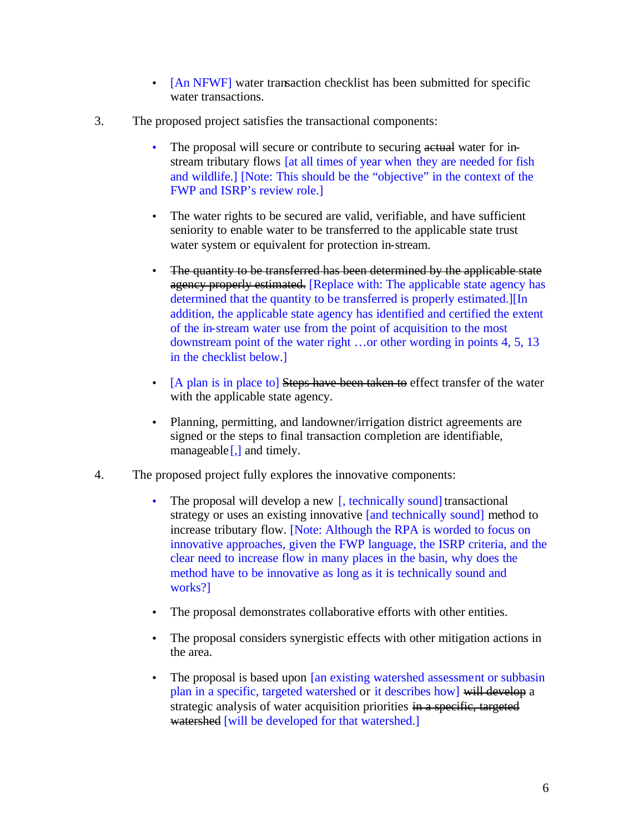- [An NFWF] water transaction checklist has been submitted for specific water transactions.
- 3. The proposed project satisfies the transactional components:
	- The proposal will secure or contribute to securing actual water for instream tributary flows [at all times of year when they are needed for fish and wildlife.] [Note: This should be the "objective" in the context of the FWP and ISRP's review role.]
	- The water rights to be secured are valid, verifiable, and have sufficient seniority to enable water to be transferred to the applicable state trust water system or equivalent for protection in-stream.
	- The quantity to be transferred has been determined by the applicable state agency properly estimated. [Replace with: The applicable state agency has determined that the quantity to be transferred is properly estimated.][In addition, the applicable state agency has identified and certified the extent of the in-stream water use from the point of acquisition to the most downstream point of the water right …or other wording in points 4, 5, 13 in the checklist below.]
	- [A plan is in place to] Steps have been taken to effect transfer of the water with the applicable state agency.
	- Planning, permitting, and landowner/irrigation district agreements are signed or the steps to final transaction completion are identifiable, manageable [,] and timely.
- 4. The proposed project fully explores the innovative components:
	- The proposal will develop a new [, technically sound] transactional strategy or uses an existing innovative [and technically sound] method to increase tributary flow. [Note: Although the RPA is worded to focus on innovative approaches, given the FWP language, the ISRP criteria, and the clear need to increase flow in many places in the basin, why does the method have to be innovative as long as it is technically sound and works?]
	- The proposal demonstrates collaborative efforts with other entities.
	- The proposal considers synergistic effects with other mitigation actions in the area.
	- The proposal is based upon [an existing watershed assessment or subbasin plan in a specific, targeted watershed or it describes how] will develop a strategic analysis of water acquisition priorities in a specific, targeted watershed [will be developed for that watershed.]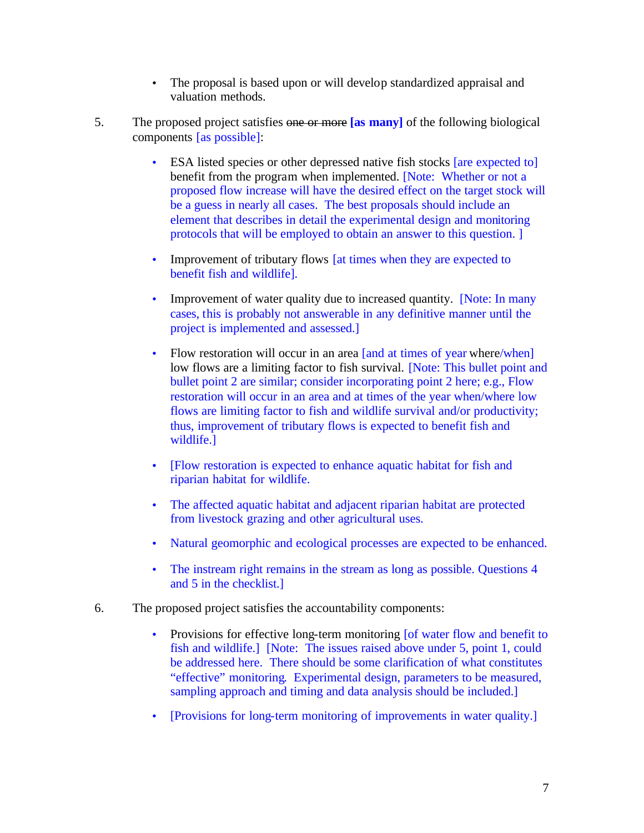- The proposal is based upon or will develop standardized appraisal and valuation methods.
- 5. The proposed project satisfies one or more **[as many]** of the following biological components [as possible]:
	- ESA listed species or other depressed native fish stocks [are expected to] benefit from the program when implemented. [Note: Whether or not a proposed flow increase will have the desired effect on the target stock will be a guess in nearly all cases. The best proposals should include an element that describes in detail the experimental design and monitoring protocols that will be employed to obtain an answer to this question. ]
	- Improvement of tributary flows [at times when they are expected to benefit fish and wildlife].
	- Improvement of water quality due to increased quantity. [Note: In many cases, this is probably not answerable in any definitive manner until the project is implemented and assessed.]
	- Flow restoration will occur in an area [and at times of year where/when] low flows are a limiting factor to fish survival. [Note: This bullet point and bullet point 2 are similar; consider incorporating point 2 here; e.g., Flow restoration will occur in an area and at times of the year when/where low flows are limiting factor to fish and wildlife survival and/or productivity; thus, improvement of tributary flows is expected to benefit fish and wildlife.]
	- [Flow restoration is expected to enhance aquatic habitat for fish and riparian habitat for wildlife.
	- The affected aquatic habitat and adjacent riparian habitat are protected from livestock grazing and other agricultural uses.
	- Natural geomorphic and ecological processes are expected to be enhanced.
	- The instream right remains in the stream as long as possible. Questions 4 and 5 in the checklist.]
- 6. The proposed project satisfies the accountability components:
	- Provisions for effective long-term monitoring [of water flow and benefit to fish and wildlife.] [Note: The issues raised above under 5, point 1, could be addressed here. There should be some clarification of what constitutes "effective" monitoring. Experimental design, parameters to be measured, sampling approach and timing and data analysis should be included.]
	- [Provisions for long-term monitoring of improvements in water quality.]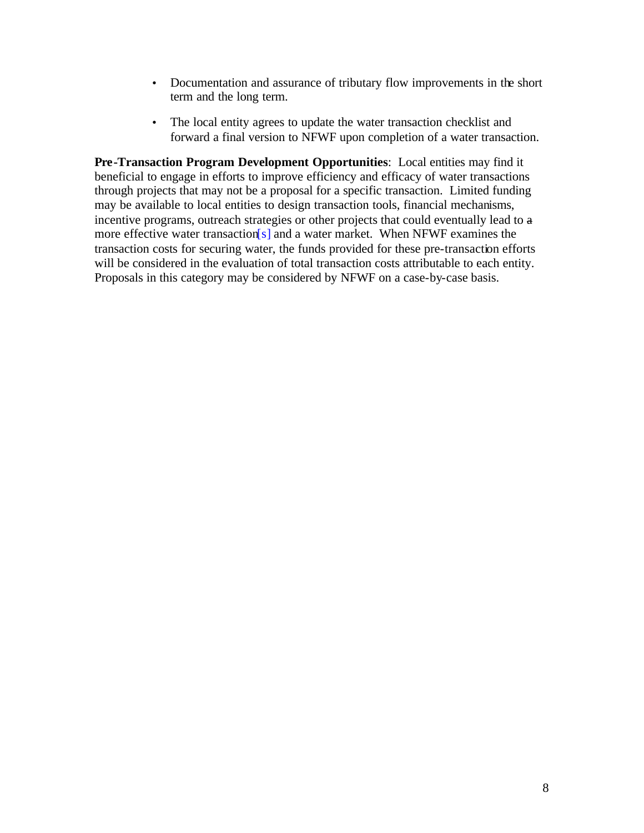- Documentation and assurance of tributary flow improvements in the short term and the long term.
- The local entity agrees to update the water transaction checklist and forward a final version to NFWF upon completion of a water transaction.

**Pre-Transaction Program Development Opportunities**: Local entities may find it beneficial to engage in efforts to improve efficiency and efficacy of water transactions through projects that may not be a proposal for a specific transaction. Limited funding may be available to local entities to design transaction tools, financial mechanisms, incentive programs, outreach strategies or other projects that could eventually lead to a more effective water transaction[s] and a water market. When NFWF examines the transaction costs for securing water, the funds provided for these pre-transaction efforts will be considered in the evaluation of total transaction costs attributable to each entity. Proposals in this category may be considered by NFWF on a case-by-case basis.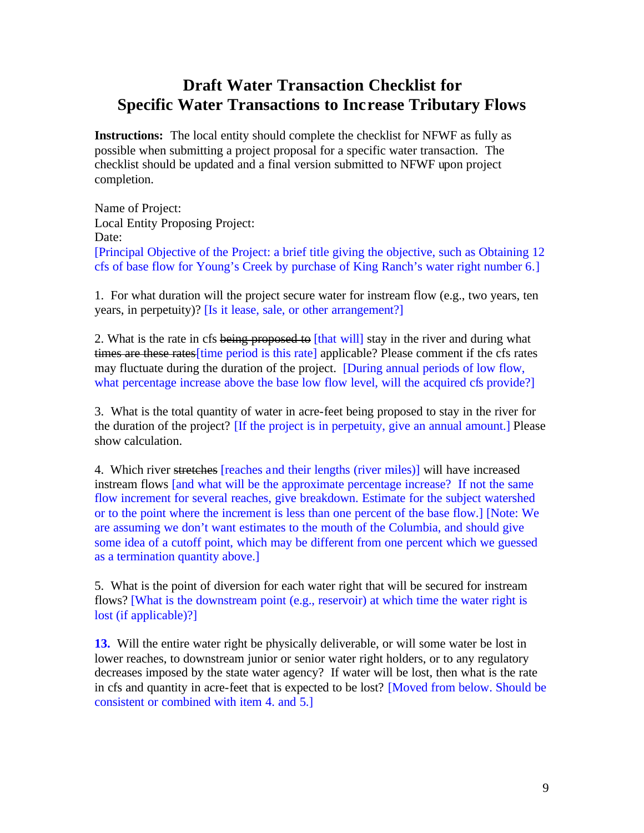## **Draft Water Transaction Checklist for Specific Water Transactions to Increase Tributary Flows**

**Instructions:** The local entity should complete the checklist for NFWF as fully as possible when submitting a project proposal for a specific water transaction. The checklist should be updated and a final version submitted to NFWF upon project completion.

Name of Project: Local Entity Proposing Project: Date: [Principal Objective of the Project: a brief title giving the objective, such as Obtaining 12 cfs of base flow for Young's Creek by purchase of King Ranch's water right number 6.]

1. For what duration will the project secure water for instream flow (e.g., two years, ten years, in perpetuity)? [Is it lease, sale, or other arrangement?]

2. What is the rate in cfs being proposed to [that will] stay in the river and during what times are these rates [time period is this rate] applicable? Please comment if the cfs rates may fluctuate during the duration of the project. [During annual periods of low flow, what percentage increase above the base low flow level, will the acquired cfs provide?

3. What is the total quantity of water in acre-feet being proposed to stay in the river for the duration of the project? [If the project is in perpetuity, give an annual amount.] Please show calculation.

4. Which river stretches [reaches and their lengths (river miles)] will have increased instream flows [and what will be the approximate percentage increase? If not the same flow increment for several reaches, give breakdown. Estimate for the subject watershed or to the point where the increment is less than one percent of the base flow.] [Note: We are assuming we don't want estimates to the mouth of the Columbia, and should give some idea of a cutoff point, which may be different from one percent which we guessed as a termination quantity above.]

5. What is the point of diversion for each water right that will be secured for instream flows? [What is the downstream point (e.g., reservoir) at which time the water right is lost (if applicable)?]

**13.** Will the entire water right be physically deliverable, or will some water be lost in lower reaches, to downstream junior or senior water right holders, or to any regulatory decreases imposed by the state water agency? If water will be lost, then what is the rate in cfs and quantity in acre-feet that is expected to be lost? [Moved from below. Should be consistent or combined with item 4. and 5.]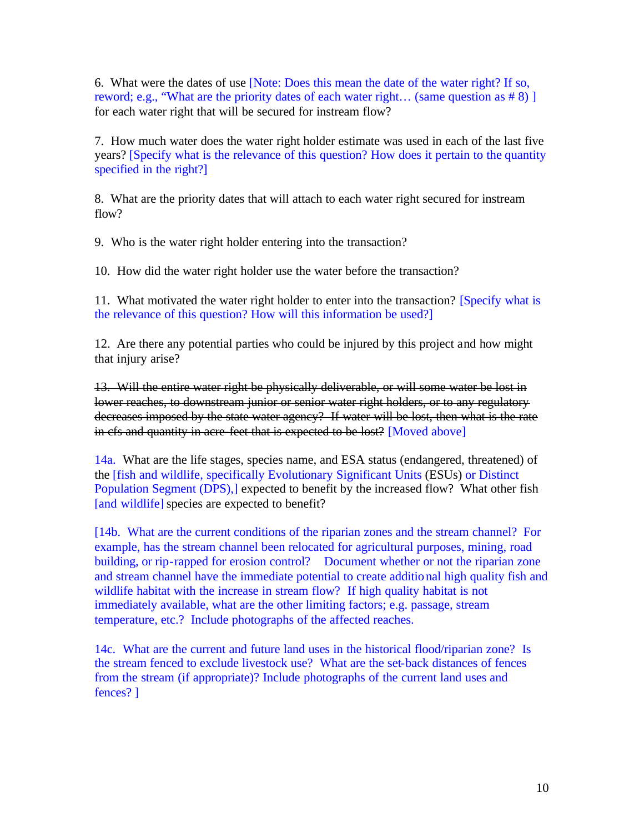6. What were the dates of use [Note: Does this mean the date of the water right? If so, reword; e.g., "What are the priority dates of each water right... (same question as #8) ] for each water right that will be secured for instream flow?

7. How much water does the water right holder estimate was used in each of the last five years? [Specify what is the relevance of this question? How does it pertain to the quantity specified in the right?]

8. What are the priority dates that will attach to each water right secured for instream flow?

9. Who is the water right holder entering into the transaction?

10. How did the water right holder use the water before the transaction?

11. What motivated the water right holder to enter into the transaction? [Specify what is the relevance of this question? How will this information be used?]

12. Are there any potential parties who could be injured by this project and how might that injury arise?

13. Will the entire water right be physically deliverable, or will some water be lost in lower reaches, to downstream junior or senior water right holders, or to any regulatory decreases imposed by the state water agency? If water will be lost, then what is the rate in cfs and quantity in acre-feet that is expected to be lost? [Moved above]

14a. What are the life stages, species name, and ESA status (endangered, threatened) of the [fish and wildlife, specifically Evolutionary Significant Units (ESUs) or Distinct Population Segment (DPS),] expected to benefit by the increased flow? What other fish [and wildlife] species are expected to benefit?

[14b. What are the current conditions of the riparian zones and the stream channel? For example, has the stream channel been relocated for agricultural purposes, mining, road building, or rip-rapped for erosion control? Document whether or not the riparian zone and stream channel have the immediate potential to create additional high quality fish and wildlife habitat with the increase in stream flow? If high quality habitat is not immediately available, what are the other limiting factors; e.g. passage, stream temperature, etc.? Include photographs of the affected reaches.

14c. What are the current and future land uses in the historical flood/riparian zone? Is the stream fenced to exclude livestock use? What are the set-back distances of fences from the stream (if appropriate)? Include photographs of the current land uses and fences? ]